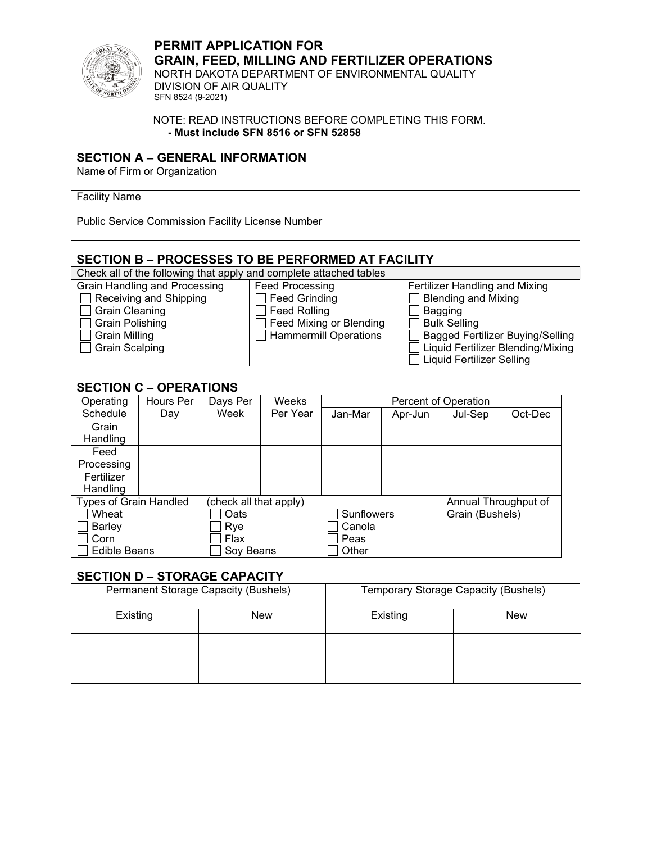

**PERMIT APPLICATION FOR GRAIN, FEED, MILLING AND FERTILIZER OPERATIONS** NORTH DAKOTA DEPARTMENT OF ENVIRONMENTAL QUALITY DIVISION OF AIR QUALITY

SFN 8524 (9-2021)

NOTE: READ INSTRUCTIONS BEFORE COMPLETING THIS FORM. **- Must include SFN 8516 or SFN 52858**

### **SECTION A – GENERAL INFORMATION**

Name of Firm or Organization

Facility Name

Public Service Commission Facility License Number

# **SECTION B – PROCESSES TO BE PERFORMED AT FACILITY**

| Check all of the following that apply and complete attached tables |                         |                                         |  |  |  |  |
|--------------------------------------------------------------------|-------------------------|-----------------------------------------|--|--|--|--|
| Grain Handling and Processing                                      | <b>Feed Processing</b>  | Fertilizer Handling and Mixing          |  |  |  |  |
| Receiving and Shipping                                             | Feed Grinding           | Blending and Mixing                     |  |  |  |  |
| <b>Grain Cleaning</b>                                              | Feed Rolling            | Bagging                                 |  |  |  |  |
| Grain Polishing                                                    | Feed Mixing or Blending | $\Box$ Bulk Selling                     |  |  |  |  |
| <b>Grain Milling</b>                                               | Hammermill Operations   | $\Box$ Bagged Fertilizer Buying/Selling |  |  |  |  |
| ∃ Grain Scalping                                                   |                         | □ Liquid Fertilizer Blending/Mixing     |  |  |  |  |
|                                                                    |                         | Liquid Fertilizer Selling               |  |  |  |  |

### **SECTION C – OPERATIONS**

| Operating                     | Hours Per | Days Per               | Weeks    | Percent of Operation |         |                      |         |  |  |
|-------------------------------|-----------|------------------------|----------|----------------------|---------|----------------------|---------|--|--|
| Schedule                      | Day       | Week                   | Per Year | Jan-Mar              | Apr-Jun | Jul-Sep              | Oct-Dec |  |  |
| Grain                         |           |                        |          |                      |         |                      |         |  |  |
| Handling                      |           |                        |          |                      |         |                      |         |  |  |
| Feed                          |           |                        |          |                      |         |                      |         |  |  |
| Processing                    |           |                        |          |                      |         |                      |         |  |  |
| Fertilizer                    |           |                        |          |                      |         |                      |         |  |  |
| Handling                      |           |                        |          |                      |         |                      |         |  |  |
| <b>Types of Grain Handled</b> |           | (check all that apply) |          |                      |         | Annual Throughput of |         |  |  |
| Wheat                         |           | Oats                   |          | <b>Sunflowers</b>    |         | Grain (Bushels)      |         |  |  |
| <b>Barley</b>                 |           | Rye                    |          | Canola               |         |                      |         |  |  |
| Corn                          |           | Flax                   |          | Peas                 |         |                      |         |  |  |
| <b>Edible Beans</b>           |           | Sov Beans              |          | Other                |         |                      |         |  |  |

### **SECTION D – STORAGE CAPACITY**

|          | Permanent Storage Capacity (Bushels) | Temporary Storage Capacity (Bushels) |            |  |
|----------|--------------------------------------|--------------------------------------|------------|--|
| Existing | <b>New</b>                           | Existing                             | <b>New</b> |  |
|          |                                      |                                      |            |  |
|          |                                      |                                      |            |  |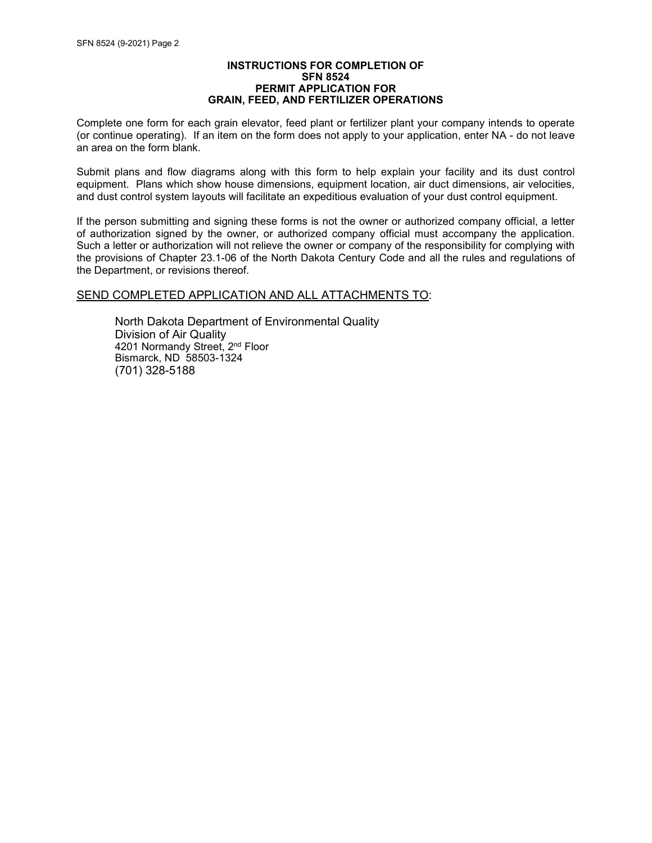#### **INSTRUCTIONS FOR COMPLETION OF SFN 8524 PERMIT APPLICATION FOR GRAIN, FEED, AND FERTILIZER OPERATIONS**

Complete one form for each grain elevator, feed plant or fertilizer plant your company intends to operate (or continue operating). If an item on the form does not apply to your application, enter NA - do not leave an area on the form blank.

Submit plans and flow diagrams along with this form to help explain your facility and its dust control equipment. Plans which show house dimensions, equipment location, air duct dimensions, air velocities, and dust control system layouts will facilitate an expeditious evaluation of your dust control equipment.

If the person submitting and signing these forms is not the owner or authorized company official, a letter of authorization signed by the owner, or authorized company official must accompany the application. Such a letter or authorization will not relieve the owner or company of the responsibility for complying with the provisions of Chapter 23.1-06 of the North Dakota Century Code and all the rules and regulations of the Department, or revisions thereof.

#### SEND COMPLETED APPLICATION AND ALL ATTACHMENTS TO:

North Dakota Department of Environmental Quality Division of Air Quality 4201 Normandy Street, 2<sup>nd</sup> Floor Bismarck, ND 58503-1324 (701) 328-5188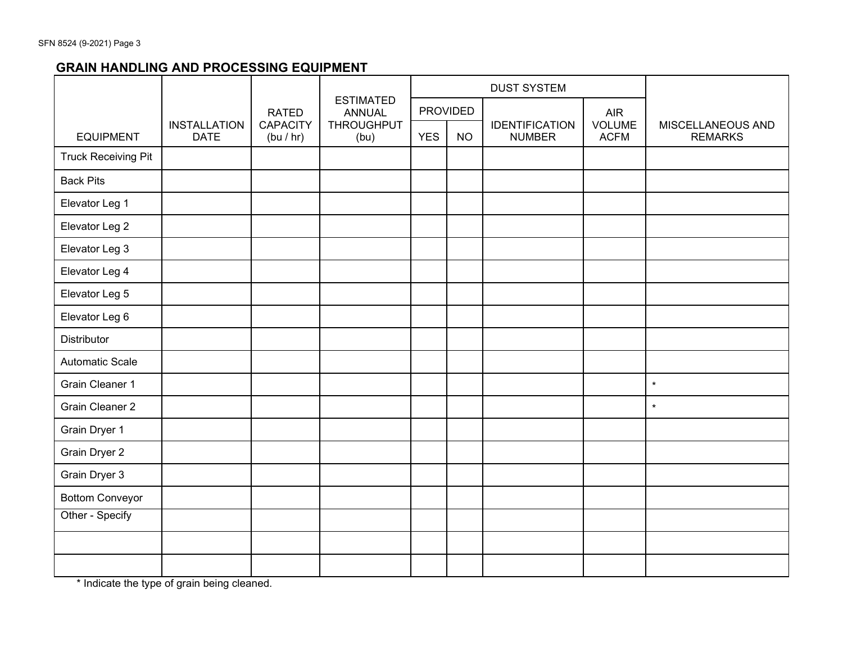# **GRAIN HANDLING AND PROCESSING EQUIPMENT**

|                            |                                                                                                 |                                                   |                 | <b>DUST SYSTEM</b>                     |                       |                                     |  |         |
|----------------------------|-------------------------------------------------------------------------------------------------|---------------------------------------------------|-----------------|----------------------------------------|-----------------------|-------------------------------------|--|---------|
|                            |                                                                                                 | <b>ESTIMATED</b><br><b>RATED</b><br><b>ANNUAL</b> | <b>PROVIDED</b> |                                        |                       | <b>AIR</b>                          |  |         |
| <b>EQUIPMENT</b>           | <b>CAPACITY</b><br><b>THROUGHPUT</b><br><b>INSTALLATION</b><br><b>DATE</b><br>(bu / hr)<br>(bu) | <b>YES</b>                                        | <b>NO</b>       | <b>IDENTIFICATION</b><br><b>NUMBER</b> | VOLUME<br><b>ACFM</b> | MISCELLANEOUS AND<br><b>REMARKS</b> |  |         |
| <b>Truck Receiving Pit</b> |                                                                                                 |                                                   |                 |                                        |                       |                                     |  |         |
| <b>Back Pits</b>           |                                                                                                 |                                                   |                 |                                        |                       |                                     |  |         |
| Elevator Leg 1             |                                                                                                 |                                                   |                 |                                        |                       |                                     |  |         |
| Elevator Leg 2             |                                                                                                 |                                                   |                 |                                        |                       |                                     |  |         |
| Elevator Leg 3             |                                                                                                 |                                                   |                 |                                        |                       |                                     |  |         |
| Elevator Leg 4             |                                                                                                 |                                                   |                 |                                        |                       |                                     |  |         |
| Elevator Leg 5             |                                                                                                 |                                                   |                 |                                        |                       |                                     |  |         |
| Elevator Leg 6             |                                                                                                 |                                                   |                 |                                        |                       |                                     |  |         |
| <b>Distributor</b>         |                                                                                                 |                                                   |                 |                                        |                       |                                     |  |         |
| Automatic Scale            |                                                                                                 |                                                   |                 |                                        |                       |                                     |  |         |
| <b>Grain Cleaner 1</b>     |                                                                                                 |                                                   |                 |                                        |                       |                                     |  | $\star$ |
| <b>Grain Cleaner 2</b>     |                                                                                                 |                                                   |                 |                                        |                       |                                     |  | $\star$ |
| Grain Dryer 1              |                                                                                                 |                                                   |                 |                                        |                       |                                     |  |         |
| Grain Dryer 2              |                                                                                                 |                                                   |                 |                                        |                       |                                     |  |         |
| Grain Dryer 3              |                                                                                                 |                                                   |                 |                                        |                       |                                     |  |         |
| <b>Bottom Conveyor</b>     |                                                                                                 |                                                   |                 |                                        |                       |                                     |  |         |
| Other - Specify            |                                                                                                 |                                                   |                 |                                        |                       |                                     |  |         |
|                            |                                                                                                 |                                                   |                 |                                        |                       |                                     |  |         |
|                            |                                                                                                 |                                                   |                 |                                        |                       |                                     |  |         |

\* Indicate the type of grain being cleaned.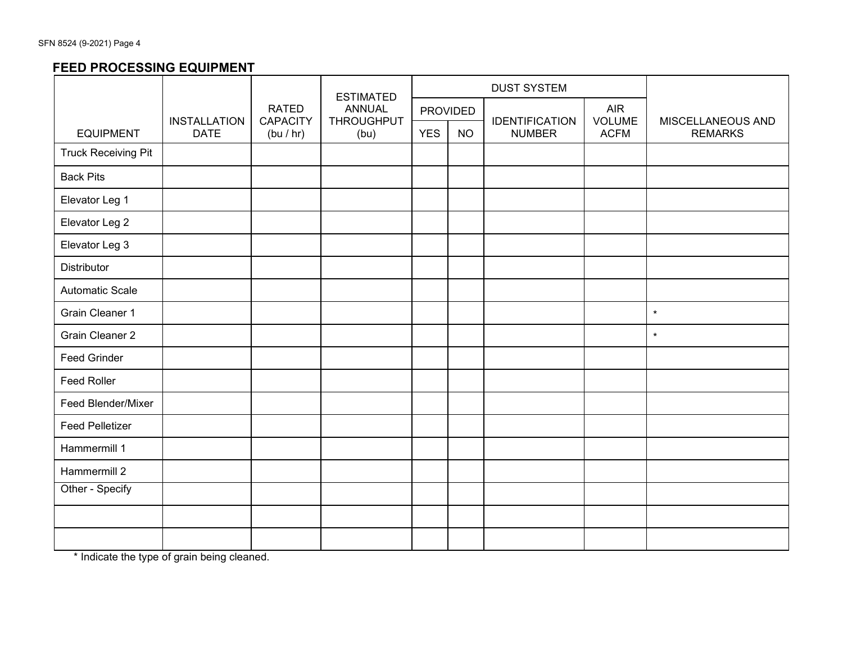## **FEED PROCESSING EQUIPMENT**

|                            |                                    |                                      | <b>ESTIMATED</b>                   | <b>DUST SYSTEM</b> |           |                                        |                       |                                     |  |
|----------------------------|------------------------------------|--------------------------------------|------------------------------------|--------------------|-----------|----------------------------------------|-----------------------|-------------------------------------|--|
|                            |                                    | <b>RATED</b>                         | <b>ANNUAL</b><br><b>THROUGHPUT</b> | <b>PROVIDED</b>    |           |                                        | <b>AIR</b>            |                                     |  |
| <b>EQUIPMENT</b>           | <b>INSTALLATION</b><br><b>DATE</b> | <b>CAPACITY</b><br>(bu / hr)<br>(bu) |                                    | <b>YES</b>         | <b>NO</b> | <b>IDENTIFICATION</b><br><b>NUMBER</b> | VOLUME<br><b>ACFM</b> | MISCELLANEOUS AND<br><b>REMARKS</b> |  |
| <b>Truck Receiving Pit</b> |                                    |                                      |                                    |                    |           |                                        |                       |                                     |  |
| <b>Back Pits</b>           |                                    |                                      |                                    |                    |           |                                        |                       |                                     |  |
| Elevator Leg 1             |                                    |                                      |                                    |                    |           |                                        |                       |                                     |  |
| Elevator Leg 2             |                                    |                                      |                                    |                    |           |                                        |                       |                                     |  |
| Elevator Leg 3             |                                    |                                      |                                    |                    |           |                                        |                       |                                     |  |
| Distributor                |                                    |                                      |                                    |                    |           |                                        |                       |                                     |  |
| <b>Automatic Scale</b>     |                                    |                                      |                                    |                    |           |                                        |                       |                                     |  |
| <b>Grain Cleaner 1</b>     |                                    |                                      |                                    |                    |           |                                        |                       | $\star$                             |  |
| <b>Grain Cleaner 2</b>     |                                    |                                      |                                    |                    |           |                                        |                       | $\star$                             |  |
| <b>Feed Grinder</b>        |                                    |                                      |                                    |                    |           |                                        |                       |                                     |  |
| Feed Roller                |                                    |                                      |                                    |                    |           |                                        |                       |                                     |  |
| Feed Blender/Mixer         |                                    |                                      |                                    |                    |           |                                        |                       |                                     |  |
| <b>Feed Pelletizer</b>     |                                    |                                      |                                    |                    |           |                                        |                       |                                     |  |
| Hammermill 1               |                                    |                                      |                                    |                    |           |                                        |                       |                                     |  |
| Hammermill 2               |                                    |                                      |                                    |                    |           |                                        |                       |                                     |  |
| Other - Specify            |                                    |                                      |                                    |                    |           |                                        |                       |                                     |  |
|                            |                                    |                                      |                                    |                    |           |                                        |                       |                                     |  |
|                            |                                    |                                      |                                    |                    |           |                                        |                       |                                     |  |

\* Indicate the type of grain being cleaned.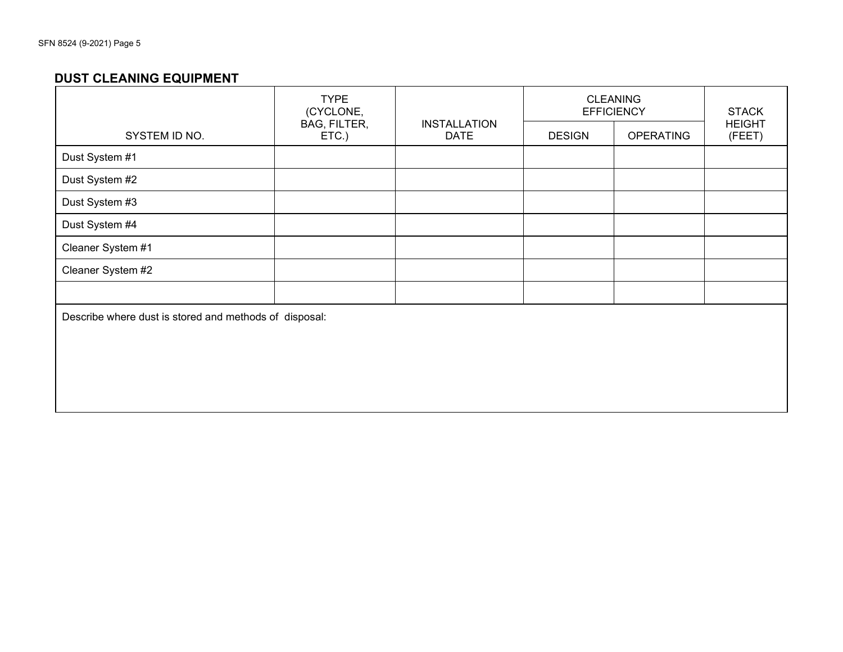### **DUST CLEANING EQUIPMENT**

|                   | <b>TYPE</b><br>(CYCLONE,                               |                                    | <b>CLEANING</b><br><b>EFFICIENCY</b> | <b>STACK</b> |                         |  |  |
|-------------------|--------------------------------------------------------|------------------------------------|--------------------------------------|--------------|-------------------------|--|--|
| SYSTEM ID NO.     | BAG, FILTER,<br>ETC.)                                  | <b>INSTALLATION</b><br><b>DATE</b> | <b>DESIGN</b><br><b>OPERATING</b>    |              | <b>HEIGHT</b><br>(FEET) |  |  |
| Dust System #1    |                                                        |                                    |                                      |              |                         |  |  |
| Dust System #2    |                                                        |                                    |                                      |              |                         |  |  |
| Dust System #3    |                                                        |                                    |                                      |              |                         |  |  |
| Dust System #4    |                                                        |                                    |                                      |              |                         |  |  |
| Cleaner System #1 |                                                        |                                    |                                      |              |                         |  |  |
| Cleaner System #2 |                                                        |                                    |                                      |              |                         |  |  |
|                   |                                                        |                                    |                                      |              |                         |  |  |
|                   | Describe where dust is stored and methods of disposal: |                                    |                                      |              |                         |  |  |
|                   |                                                        |                                    |                                      |              |                         |  |  |
|                   |                                                        |                                    |                                      |              |                         |  |  |
|                   |                                                        |                                    |                                      |              |                         |  |  |
|                   |                                                        |                                    |                                      |              |                         |  |  |